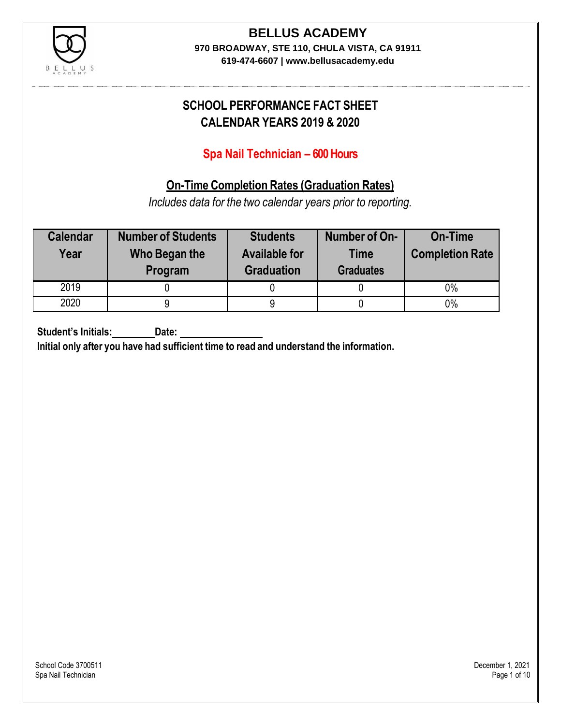

### **BELLUS ACADEMY 970 BROADWAY, STE 110, CHULA VISTA, CA 91911**

**619-474-6607 | www.bellusacademy.edu**

## **SCHOOL PERFORMANCE FACT SHEET CALENDAR YEARS 2019 & 2020**

## **Spa Nail Technician – 600 Hours**

## **On-Time Completion Rates (Graduation Rates)**

*Includes data for the two calendar years prior to reporting.*

| <b>Calendar</b><br>Year | <b>Number of Students</b><br>Who Began the<br>Program | <b>Students</b><br><b>Available for</b><br><b>Graduation</b> | Number of On-<br><b>Time</b><br><b>Graduates</b> | <b>On-Time</b><br><b>Completion Rate</b> |
|-------------------------|-------------------------------------------------------|--------------------------------------------------------------|--------------------------------------------------|------------------------------------------|
| 2019                    |                                                       |                                                              |                                                  | 0%                                       |
| 2020                    |                                                       |                                                              |                                                  | $0\%$                                    |

**Student's Initials: Date:**

**Initial only after you have had sufficient time to read and understand the information.**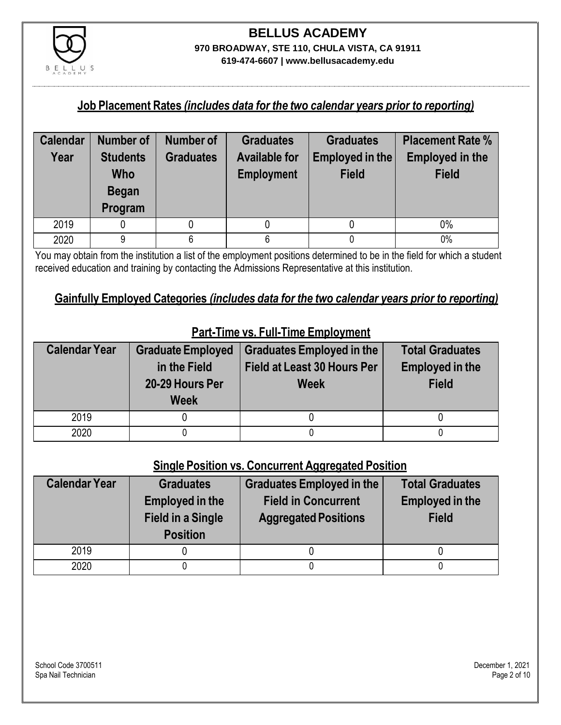

### **Job Placement Rates** *(includes data for the two calendar years prior to reporting)*

| <b>Calendar</b> | <b>Number of</b>                                  | <b>Number of</b> | <b>Graduates</b>                          | <b>Graduates</b>                | <b>Placement Rate %</b>                |
|-----------------|---------------------------------------------------|------------------|-------------------------------------------|---------------------------------|----------------------------------------|
| Year            | <b>Students</b><br>Who<br><b>Began</b><br>Program | <b>Graduates</b> | <b>Available for</b><br><b>Employment</b> | Employed in the<br><b>Field</b> | <b>Employed in the</b><br><b>Field</b> |
| 2019            |                                                   |                  |                                           |                                 | 0%                                     |
| 2020            | 9                                                 | 6                | 6                                         |                                 | 0%                                     |

You may obtain from the institution a list of the employment positions determined to be in the field for which a student received education and training by contacting the Admissions Representative at this institution.

### **Gainfully Employed Categories** *(includes data for the two calendar years prior to reporting)*

| <b>Calendar Year</b> | <b>Graduate Employed</b><br>in the Field<br>20-29 Hours Per<br><b>Week</b> | <b>Graduates Employed in the</b><br>Field at Least 30 Hours Per<br><b>Week</b> | <b>Total Graduates</b><br><b>Employed in the</b><br><b>Field</b> |
|----------------------|----------------------------------------------------------------------------|--------------------------------------------------------------------------------|------------------------------------------------------------------|
| 2019                 |                                                                            |                                                                                |                                                                  |
| 2020                 |                                                                            |                                                                                |                                                                  |

## **Part-Time vs. Full-Time Employment**

### **Single Position vs. Concurrent Aggregated Position**

| <b>Calendar Year</b> | <b>Graduates</b><br><b>Employed in the</b><br><b>Field in a Single</b><br><b>Position</b> | <b>Graduates Employed in the</b><br><b>Field in Concurrent</b><br><b>Aggregated Positions</b> | <b>Total Graduates</b><br><b>Employed in the</b><br><b>Field</b> |
|----------------------|-------------------------------------------------------------------------------------------|-----------------------------------------------------------------------------------------------|------------------------------------------------------------------|
| 2019                 |                                                                                           |                                                                                               |                                                                  |
| 2020                 |                                                                                           |                                                                                               |                                                                  |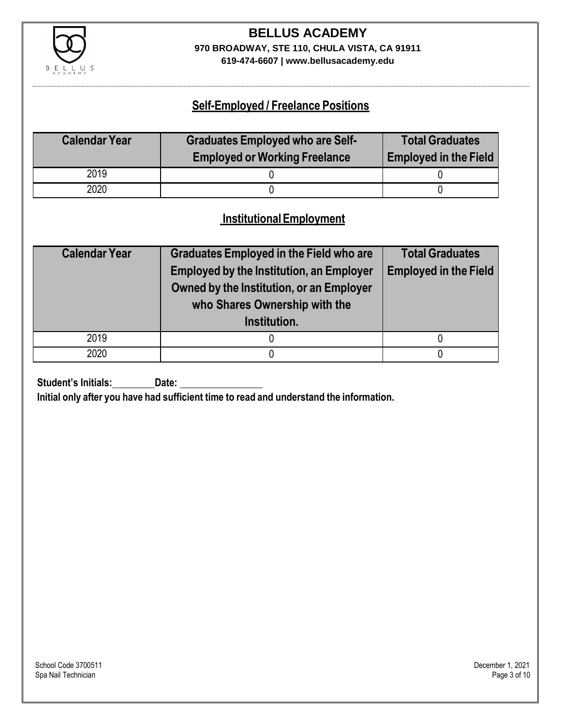

# **BELLUS ACADEMY 970 BROADWAY, STE 110, CHULA VISTA, CA 91911**

**619-474-6607 | www.bellusacademy.edu**

### **Self-Employed / Freelance Positions**

| <b>Calendar Year</b> | <b>Graduates Employed who are Self-</b> | <b>Total Graduates</b>       |
|----------------------|-----------------------------------------|------------------------------|
|                      | <b>Employed or Working Freelance</b>    | <b>Employed in the Field</b> |
| 2019                 |                                         |                              |
| 2020                 |                                         |                              |

### **InstitutionalEmployment**

| <b>Calendar Year</b> | <b>Graduates Employed in the Field who are</b>  | <b>Total Graduates</b>       |  |
|----------------------|-------------------------------------------------|------------------------------|--|
|                      | <b>Employed by the Institution, an Employer</b> | <b>Employed in the Field</b> |  |
|                      | Owned by the Institution, or an Employer        |                              |  |
|                      | who Shares Ownership with the                   |                              |  |
|                      | Institution.                                    |                              |  |
| 2019                 |                                                 |                              |  |
| 2020                 |                                                 |                              |  |

**Student's Initials:** Date:

**Initial only after you have had sufficient time to read and understand the information.**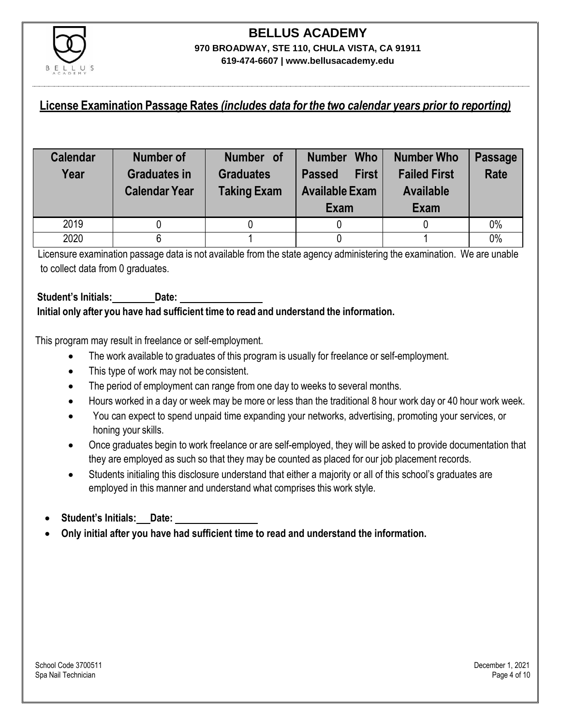

### **License Examination Passage Rates** *(includes data for the two calendar years prior to reporting)*

| <b>Calendar</b><br>Year | Number of<br><b>Graduates in</b><br><b>Calendar Year</b> | Number of<br><b>Graduates</b><br><b>Taking Exam</b> | <b>Who</b><br><b>Number</b><br><b>First</b><br><b>Passed</b><br><b>Available Exam</b><br>Exam | Number Who<br><b>Failed First</b><br><b>Available</b><br>Exam | <b>Passage</b><br><b>Rate</b> |
|-------------------------|----------------------------------------------------------|-----------------------------------------------------|-----------------------------------------------------------------------------------------------|---------------------------------------------------------------|-------------------------------|
| 2019                    |                                                          |                                                     |                                                                                               |                                                               | 0%                            |
| 2020                    |                                                          |                                                     |                                                                                               |                                                               | 0%                            |

Licensure examination passage data is not available from the state agency administering the examination. We are unable to collect data from 0 graduates.

#### **Student's Initials: Date: Initial only after you have had sufficient time to read and understand the information.**

This program may result in freelance or self-employment.

- The work available to graduates of this program is usually for freelance or self-employment.
- This type of work may not be consistent.
- The period of employment can range from one day to weeks to several months.
- Hours worked in a day or week may be more or less than the traditional 8 hour work day or 40 hour work week.
- You can expect to spend unpaid time expanding your networks, advertising, promoting your services, or honing your skills.
- Once graduates begin to work freelance or are self-employed, they will be asked to provide documentation that they are employed as such so that they may be counted as placed for our job placement records.
- Students initialing this disclosure understand that either a majority or all of this school's graduates are employed in this manner and understand what comprises this work style.
- **Student's Initials: Date:**
- **Only initial after you have had sufficient time to read and understand the information.**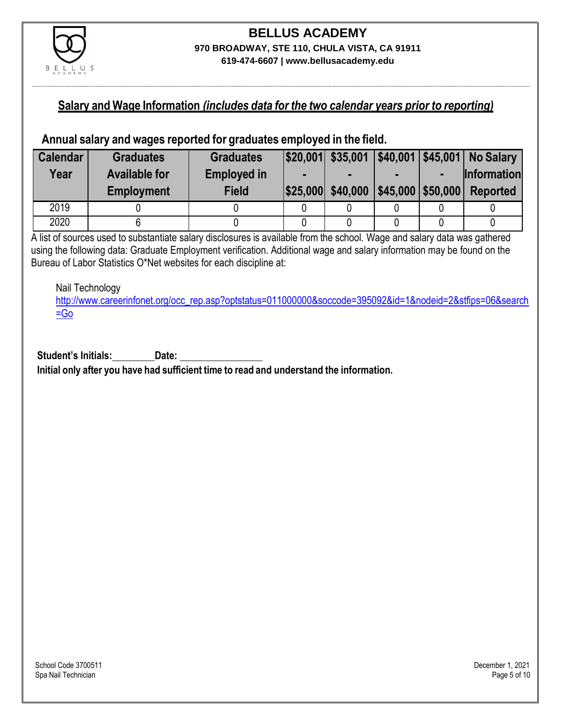

### **Salary and Wage Information** *(includes data for the two calendar years prior to reporting)*

### **Annual salary and wages reported for graduates employed in the field.**

| <b>Calendar</b> | <b>Graduates</b>     | <b>Graduates</b>   |                   |                                                  |                | $ $20,001$ $$35,001$ $ $40,001$ $ $45,001$ No Salary |
|-----------------|----------------------|--------------------|-------------------|--------------------------------------------------|----------------|------------------------------------------------------|
| Year            | <b>Available for</b> | <b>Employed in</b> |                   |                                                  | $\blacksquare$ | <b>Information</b>                                   |
|                 | <b>Employment</b>    | <b>Field</b>       | \$25,000 \$40,000 | $\left  \frac{1}{2}$ \$45,000 $\right $ \$50,000 |                | <b>Reported</b>                                      |
| 2019            |                      |                    |                   |                                                  |                |                                                      |
| 2020            |                      |                    |                   |                                                  |                |                                                      |

A list of sources used to substantiate salary disclosures is available from the school. Wage and salary data was gathered using the following data: Graduate Employment verification. Additional wage and salary information may be found on the Bureau of Labor Statistics O\*Net websites for each discipline at:

Nail Technology

[http://www.careerinfonet.org/occ\\_rep.asp?optstatus=011000000&soccode=395092&id=1&nodeid=2&stfips=06&search](http://www.careerinfonet.org/occ_rep.asp?optstatus=011000000&soccode=395092&id=1&nodeid=2&stfips=06&search=Go)  $=$ Go

**Student's Initials: Date: Initial only after you have had sufficient time to read and understand the information.**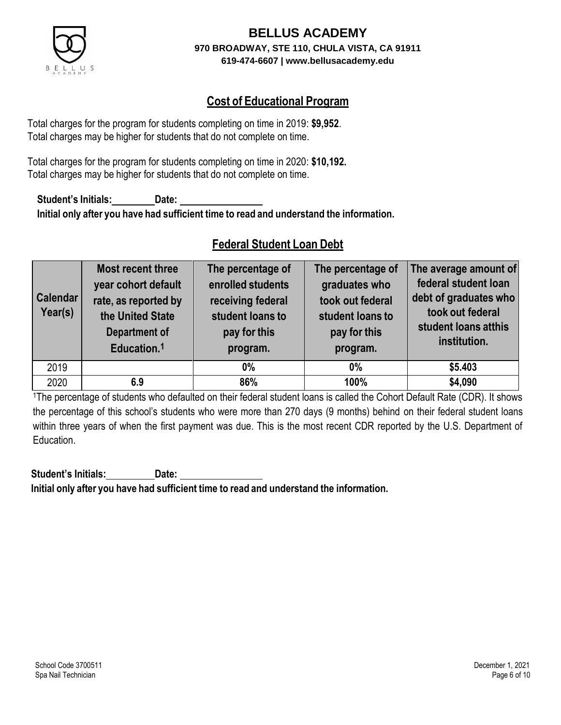

## **Cost of Educational Program**

Total charges for the program for students completing on time in 2019: **\$9,952**. Total charges may be higher for students that do not complete on time.

Total charges for the program for students completing on time in 2020: **\$10,192.** Total charges may be higher for students that do not complete on time.

**Student's Initials: Date: Initial only after you have had sufficient time to read and understand the information.**

## **Federal Student Loan Debt**

| <b>Calendar</b><br>Year(s) | Most recent three<br>year cohort default<br>rate, as reported by<br>the United State<br><b>Department of</b><br>Education. <sup>1</sup> | The percentage of<br>enrolled students<br>receiving federal<br>student loans to<br>pay for this<br>program. | The percentage of<br>graduates who<br>took out federal<br>student loans to<br>pay for this<br>program. | The average amount of<br>federal student loan<br>debt of graduates who<br>took out federal<br>student loans atthis<br>institution. |
|----------------------------|-----------------------------------------------------------------------------------------------------------------------------------------|-------------------------------------------------------------------------------------------------------------|--------------------------------------------------------------------------------------------------------|------------------------------------------------------------------------------------------------------------------------------------|
| 2019                       |                                                                                                                                         | $0\%$                                                                                                       | $0\%$                                                                                                  | \$5.403                                                                                                                            |
| 2020                       | 6.9                                                                                                                                     | 86%                                                                                                         | 100%                                                                                                   | \$4,090                                                                                                                            |

<sup>1</sup>The percentage of students who defaulted on their federal student loans is called the Cohort Default Rate (CDR). It shows the percentage of this school's students who were more than 270 days (9 months) behind on their federal student loans within three years of when the first payment was due. This is the most recent CDR reported by the U.S. Department of Education.

**Student's Initials: Date: Initial only after you have had sufficient time to read and understand the information.**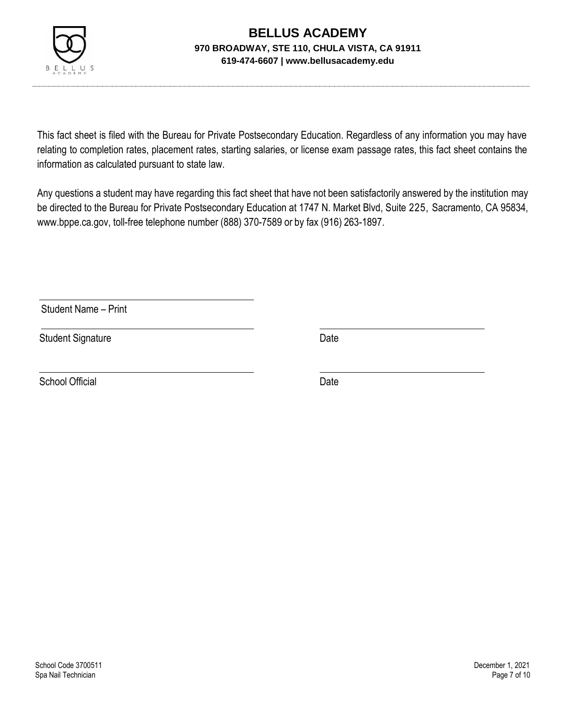

This fact sheet is filed with the Bureau for Private Postsecondary Education. Regardless of any information you may have relating to completion rates, placement rates, starting salaries, or license exam passage rates, this fact sheet contains the information as calculated pursuant to state law.

Any questions a student may have regarding this fact sheet that have not been satisfactorily answered by the institution may be directed to the Bureau for Private Postsecondary Education at 1747 N. Market Blvd, Suite 225, Sacramento, CA 95834, [www.bppe.ca.gov,](http://www.bppe.ca.gov/) toll-free telephone number (888) 370-7589 or by fax (916) 263-1897.

Student Name – Print

Student Signature Date

School Official Date Date Date Date Date Date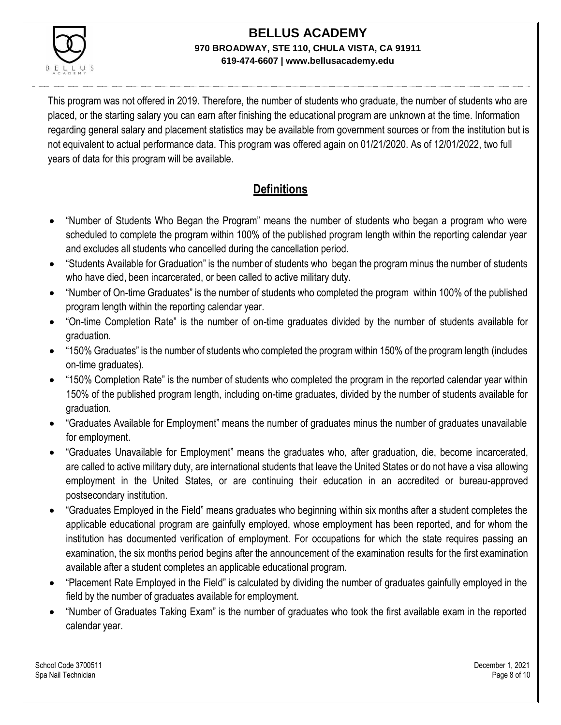

This program was not offered in 2019. Therefore, the number of students who graduate, the number of students who are placed, or the starting salary you can earn after finishing the educational program are unknown at the time. Information regarding general salary and placement statistics may be available from government sources or from the institution but is not equivalent to actual performance data. This program was offered again on 01/21/2020. As of 12/01/2022, two full years of data for this program will be available.

## **Definitions**

- "Number of Students Who Began the Program" means the number of students who began a program who were scheduled to complete the program within 100% of the published program length within the reporting calendar year and excludes all students who cancelled during the cancellation period.
- "Students Available for Graduation" is the number of students who began the program minus the number of students who have died, been incarcerated, or been called to active military duty.
- "Number of On-time Graduates" is the number of students who completed the program within 100% of the published program length within the reporting calendar year.
- "On-time Completion Rate" is the number of on-time graduates divided by the number of students available for graduation.
- "150% Graduates" is the number of students who completed the program within 150% of the program length (includes on-time graduates).
- "150% Completion Rate" is the number of students who completed the program in the reported calendar year within 150% of the published program length, including on-time graduates, divided by the number of students available for graduation.
- "Graduates Available for Employment" means the number of graduates minus the number of graduates unavailable for employment.
- "Graduates Unavailable for Employment" means the graduates who, after graduation, die, become incarcerated, are called to active military duty, are international students that leave the United States or do not have a visa allowing employment in the United States, or are continuing their education in an accredited or bureau-approved postsecondary institution.
- "Graduates Employed in the Field" means graduates who beginning within six months after a student completes the applicable educational program are gainfully employed, whose employment has been reported, and for whom the institution has documented verification of employment. For occupations for which the state requires passing an examination, the six months period begins after the announcement of the examination results for the first examination available after a student completes an applicable educational program.
- "Placement Rate Employed in the Field" is calculated by dividing the number of graduates gainfully employed in the field by the number of graduates available for employment.
- "Number of Graduates Taking Exam" is the number of graduates who took the first available exam in the reported calendar year.

School Code 3700511 December 1, 2021 Spa Nail Technician Page 8 of 10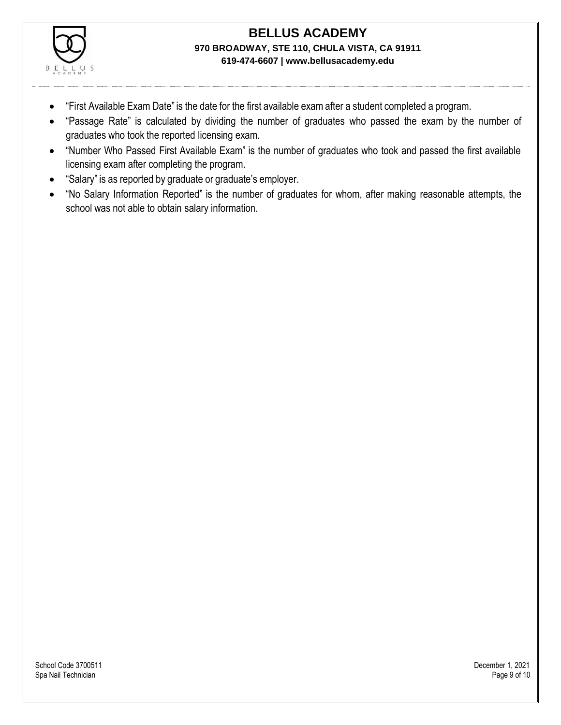

- "First Available Exam Date" is the date for the first available exam after a student completed a program.
- "Passage Rate" is calculated by dividing the number of graduates who passed the exam by the number of graduates who took the reported licensing exam.
- "Number Who Passed First Available Exam" is the number of graduates who took and passed the first available licensing exam after completing the program.
- "Salary" is as reported by graduate or graduate's employer.
- "No Salary Information Reported" is the number of graduates for whom, after making reasonable attempts, the school was not able to obtain salary information.